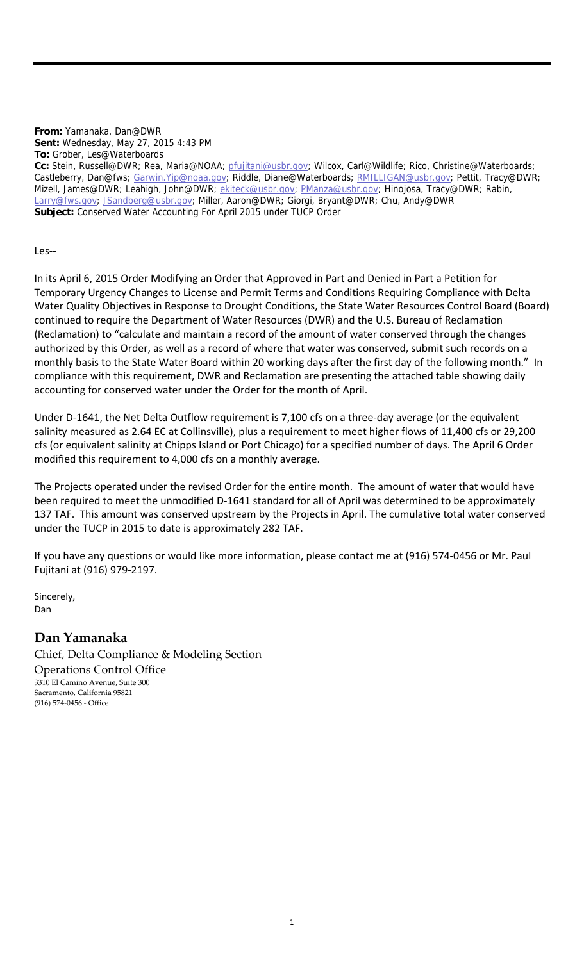**From:** Yamanaka, Dan@DWR **Sent:** Wednesday, May 27, 2015 4:43 PM **To:** Grober, Les@Waterboards

Les‐‐

In its April 6, 2015 Order Modifying an Order that Approved in Part and Denied in Part a Petition for Temporary Urgency Changes to License and Permit Terms and Conditions Requiring Compliance with Delta Water Quality Objectives in Response to Drought Conditions, the State Water Resources Control Board (Board) continued to require the Department of Water Resources (DWR) and the U.S. Bureau of Reclamation (Reclamation) to "calculate and maintain a record of the amount of water conserved through the changes authorized by this Order, as well as a record of where that water was conserved, submit such records on a monthly basis to the State Water Board within 20 working days after the first day of the following month." In compliance with this requirement, DWR and Reclamation are presenting the attached table showing daily accounting for conserved water under the Order for the month of April.

Under D‐1641, the Net Delta Outflow requirement is 7,100 cfs on a three‐day average (or the equivalent salinity measured as 2.64 EC at Collinsville), plus a requirement to meet higher flows of 11,400 cfs or 29,200 cfs (or equivalent salinity at Chipps Island or Port Chicago) for a specified number of days. The April 6 Order modified this requirement to 4,000 cfs on a monthly average.

The Projects operated under the revised Order for the entire month. The amount of water that would have been required to meet the unmodified D-1641 standard for all of April was determined to be approximately 137 TAF. This amount was conserved upstream by the Projects in April. The cumulative total water conserved under the TUCP in 2015 to date is approximately 282 TAF.

If you have any questions or would like more information, please contact me at (916) 574‐0456 or Mr. Paul Fujitani at (916) 979‐2197.

Sincerely, Dan

## **Dan Yamanaka**

Chief, Delta Compliance & Modeling Section Operations Control Office 3310 El Camino Avenue, Suite 300 Sacramento, California 95821 (916) 574‐0456 ‐ Office